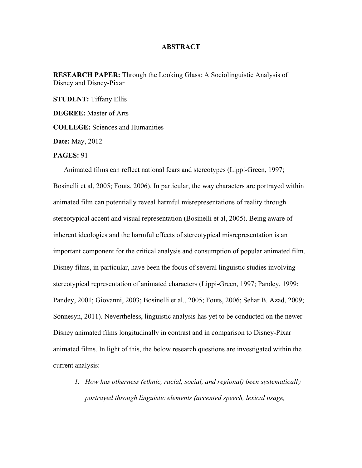## **ABSTRACT**

**RESEARCH PAPER:** Through the Looking Glass: A Sociolinguistic Analysis of Disney and Disney-Pixar

**STUDENT:** Tiffany Ellis

**DEGREE:** Master of Arts

**COLLEGE:** Sciences and Humanities

**Date:** May, 2012

## **PAGES:** 91

Animated films can reflect national fears and stereotypes (Lippi-Green, 1997; Bosinelli et al, 2005; Fouts, 2006). In particular, the way characters are portrayed within animated film can potentially reveal harmful misrepresentations of reality through stereotypical accent and visual representation (Bosinelli et al, 2005). Being aware of inherent ideologies and the harmful effects of stereotypical misrepresentation is an important component for the critical analysis and consumption of popular animated film. Disney films, in particular, have been the focus of several linguistic studies involving stereotypical representation of animated characters (Lippi-Green, 1997; Pandey, 1999; Pandey, 2001; Giovanni, 2003; Bosinelli et al., 2005; Fouts, 2006; Sehar B. Azad, 2009; Sonnesyn, 2011). Nevertheless, linguistic analysis has yet to be conducted on the newer Disney animated films longitudinally in contrast and in comparison to Disney-Pixar animated films. In light of this, the below research questions are investigated within the current analysis:

*1. How has otherness (ethnic, racial, social, and regional) been systematically portrayed through linguistic elements (accented speech, lexical usage,*